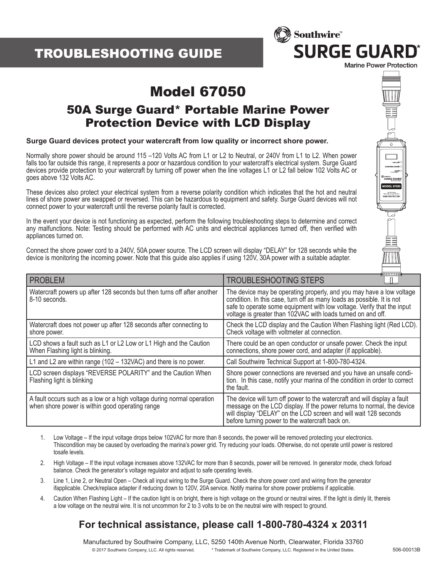## TROUBLESHOOTING GUIDE



€

ander<br>URGE GUAI

৮

# Model 67050

### 50A Surge Guard\* Portable Marine Power Protection Device with LCD Display

#### **Surge Guard devices protect your watercraft from low quality or incorrect shore power.**

Normally shore power should be around 115 –120 Volts AC from L1 or L2 to Neutral, or 240V from L1 to L2. When power falls too far outside this range, it represents a poor or hazardous condition to your watercraft's electrical system. Surge Guard devices provide protection to your watercraft by turning off power when the line voltages L1 or L2 fall below 102 Volts AC or goes above 132 Volts AC.

These devices also protect your electrical system from a reverse polarity condition which indicates that the hot and neutral lines of shore power are swapped or reversed. This can be hazardous to equipment and safety. Surge Guard devices will not connect power to your watercraft until the reverse polarity fault is corrected.

In the event your device is not functioning as expected, perform the following troubleshooting steps to determine and correct any malfunctions. Note: Testing should be performed with AC units and electrical appliances turned off, then verified with appliances turned on.

Connect the shore power cord to a 240V, 50A power source. The LCD screen will display "DELAY" for 128 seconds while the device is monitoring the incoming power. Note that this guide also applies if using 120V, 30A power with a suitable adapter.

| <b>PROBLEM</b>                                                                                                            | <b>MARKET DE LA DISPONS</b><br><b>TROUBLESHOOTING STEPS</b>                                                                                                                                                                                                                              |
|---------------------------------------------------------------------------------------------------------------------------|------------------------------------------------------------------------------------------------------------------------------------------------------------------------------------------------------------------------------------------------------------------------------------------|
| Watercraft powers up after 128 seconds but then turns off after another<br>8-10 seconds.                                  | The device may be operating properly, and you may have a low voltage<br>condition. In this case, turn off as many loads as possible. It is not<br>safe to operate some equipment with low voltage. Verify that the input<br>voltage is greater than 102VAC with loads turned on and off. |
| Watercraft does not power up after 128 seconds after connecting to<br>shore power.                                        | Check the LCD display and the Caution When Flashing light (Red LCD).<br>Check voltage with voltmeter at connection.                                                                                                                                                                      |
| LCD shows a fault such as L1 or L2 Low or L1 High and the Caution<br>When Flashing light is blinking.                     | There could be an open conductor or unsafe power. Check the input<br>connections, shore power cord, and adapter (if applicable).                                                                                                                                                         |
| L1 and L2 are within range (102 - 132VAC) and there is no power.                                                          | Call Southwire Technical Support at 1-800-780-4324.                                                                                                                                                                                                                                      |
| LCD screen displays "REVERSE POLARITY" and the Caution When<br>Flashing light is blinking                                 | Shore power connections are reversed and you have an unsafe condi-<br>tion. In this case, notify your marina of the condition in order to correct<br>the fault.                                                                                                                          |
| A fault occurs such as a low or a high voltage during normal operation<br>when shore power is within good operating range | The device will turn off power to the watercraft and will display a fault<br>message on the LCD display. If the power returns to normal, the device<br>will display "DELAY" on the LCD screen and will wait 128 seconds<br>before turning power to the watercraft back on.               |

- 1. Low Voltage If the input voltage drops below 102VAC for more than 8 seconds, the power will be removed protecting your electronics. Thiscondition may be caused by overloading the marina's power grid. Try reducing your loads. Otherwise, do not operate until power is restored tosafe levels.
- 2. High Voltage If the input voltage increases above 132VAC for more than 8 seconds, power will be removed. In generator mode, check forload balance. Check the generator's voltage regulator and adjust to safe operating levels.
- 3. Line 1, Line 2, or Neutral Open Check all input wiring to the Surge Guard. Check the shore power cord and wiring from the generator ifapplicable. Check/replace adapter if reducing down to 120V, 20A service. Notify marina for shore power problems if applicable.
- 4. Caution When Flashing Light If the caution light is on bright, there is high voltage on the ground or neutral wires. If the light is dimly lit, thereis a low voltage on the neutral wire. It is not uncommon for 2 to 3 volts to be on the neutral wire with respect to ground.

#### **For technical assistance, please call 1-800-780-4324 x 20311**

Manufactured by Southwire Company, LLC, 5250 140th Avenue North, Clearwater, Florida 33760 © 2017 Southwire Company, LLC. All rights reserved. \* Trademark of Southwire Company, LLC. Registered in the United States.